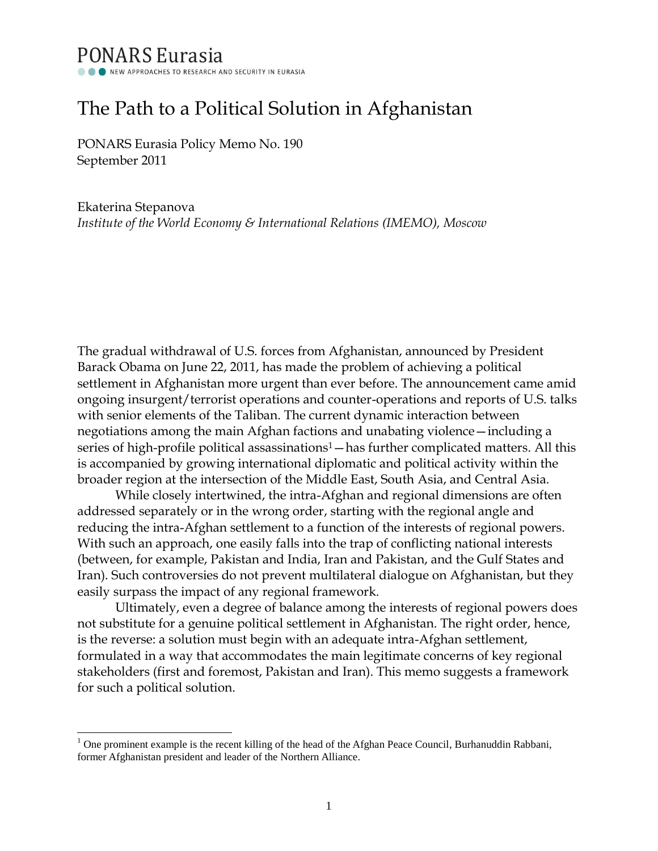## **PONARS Eurasia** NEW APPROACHES TO RESEARCH AND SECURITY IN EURASIA

# The Path to a Political Solution in Afghanistan

PONARS Eurasia Policy Memo No. 190 September 2011

l

Ekaterina Stepanova *Institute of the World Economy & International Relations (IMEMO), Moscow*

The gradual withdrawal of U.S. forces from Afghanistan, announced by President Barack Obama on June 22, 2011, has made the problem of achieving a political settlement in Afghanistan more urgent than ever before. The announcement came amid ongoing insurgent/terrorist operations and counter-operations and reports of U.S. talks with senior elements of the Taliban. The current dynamic interaction between negotiations among the main Afghan factions and unabating violence—including a series of high-profile political assassinations<sup>1</sup> — has further complicated matters. All this is accompanied by growing international diplomatic and political activity within the broader region at the intersection of the Middle East, South Asia, and Central Asia.

While closely intertwined, the intra-Afghan and regional dimensions are often addressed separately or in the wrong order, starting with the regional angle and reducing the intra-Afghan settlement to a function of the interests of regional powers. With such an approach, one easily falls into the trap of conflicting national interests (between, for example, Pakistan and India, Iran and Pakistan, and the Gulf States and Iran). Such controversies do not prevent multilateral dialogue on Afghanistan, but they easily surpass the impact of any regional framework.

Ultimately, even a degree of balance among the interests of regional powers does not substitute for a genuine political settlement in Afghanistan. The right order, hence, is the reverse: a solution must begin with an adequate intra-Afghan settlement, formulated in a way that accommodates the main legitimate concerns of key regional stakeholders (first and foremost, Pakistan and Iran). This memo suggests a framework for such a political solution.

 $1$  One prominent example is the recent killing of the head of the Afghan Peace Council, Burhanuddin Rabbani, former Afghanistan president and leader of the Northern Alliance.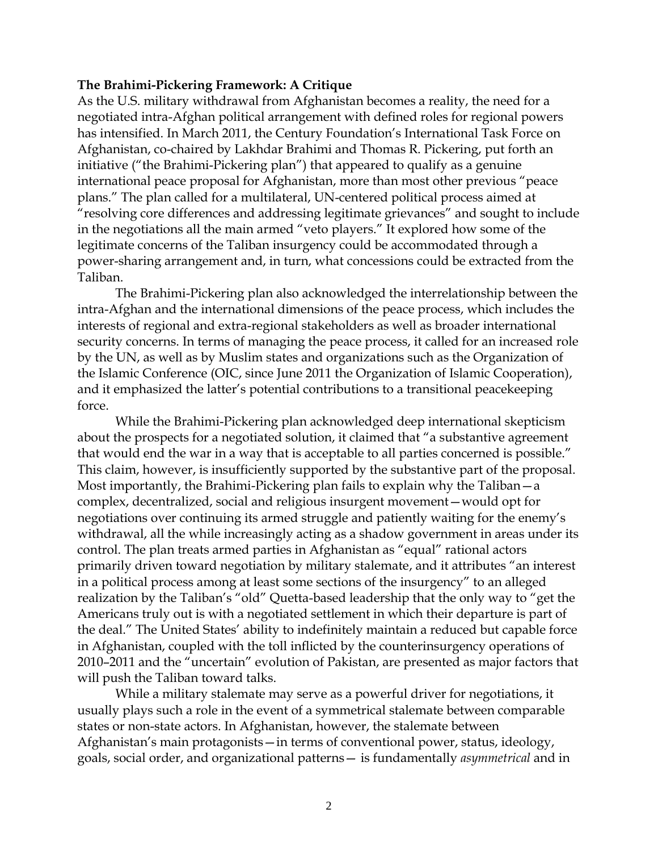#### **The Brahimi-Pickering Framework: A Critique**

As the U.S. military withdrawal from Afghanistan becomes a reality, the need for a negotiated intra-Afghan political arrangement with defined roles for regional powers has intensified. In March 2011, the Century Foundation's International Task Force on Afghanistan, co-chaired by Lakhdar Brahimi and Thomas R. Pickering, put forth an initiative ("the Brahimi-Pickering plan") that appeared to qualify as a genuine international peace proposal for Afghanistan, more than most other previous "peace plans.‖ The plan called for a multilateral, UN-centered political process aimed at ―resolving core differences and addressing legitimate grievances‖ and sought to include in the negotiations all the main armed "veto players." It explored how some of the legitimate concerns of the Taliban insurgency could be accommodated through a power-sharing arrangement and, in turn, what concessions could be extracted from the Taliban.

The Brahimi-Pickering plan also acknowledged the interrelationship between the intra-Afghan and the international dimensions of the peace process, which includes the interests of regional and extra-regional stakeholders as well as broader international security concerns. In terms of managing the peace process, it called for an increased role by the UN, as well as by Muslim states and organizations such as the Organization of the Islamic Conference (OIC, since June 2011 the Organization of Islamic Cooperation), and it emphasized the latter's potential contributions to a transitional peacekeeping force.

While the Brahimi-Pickering plan acknowledged deep international skepticism about the prospects for a negotiated solution, it claimed that "a substantive agreement that would end the war in a way that is acceptable to all parties concerned is possible." This claim, however, is insufficiently supported by the substantive part of the proposal. Most importantly, the Brahimi-Pickering plan fails to explain why the Taliban—a complex, decentralized, social and religious insurgent movement—would opt for negotiations over continuing its armed struggle and patiently waiting for the enemy's withdrawal, all the while increasingly acting as a shadow government in areas under its control. The plan treats armed parties in Afghanistan as "equal" rational actors primarily driven toward negotiation by military stalemate, and it attributes "an interest in a political process among at least some sections of the insurgency" to an alleged realization by the Taliban's "old" Quetta-based leadership that the only way to "get the Americans truly out is with a negotiated settlement in which their departure is part of the deal.‖ The United States' ability to indefinitely maintain a reduced but capable force in Afghanistan, coupled with the toll inflicted by the counterinsurgency operations of 2010–2011 and the "uncertain" evolution of Pakistan, are presented as major factors that will push the Taliban toward talks.

While a military stalemate may serve as a powerful driver for negotiations, it usually plays such a role in the event of a symmetrical stalemate between comparable states or non-state actors. In Afghanistan, however, the stalemate between Afghanistan's main protagonists—in terms of conventional power, status, ideology, goals, social order, and organizational patterns— is fundamentally *asymmetrical* and in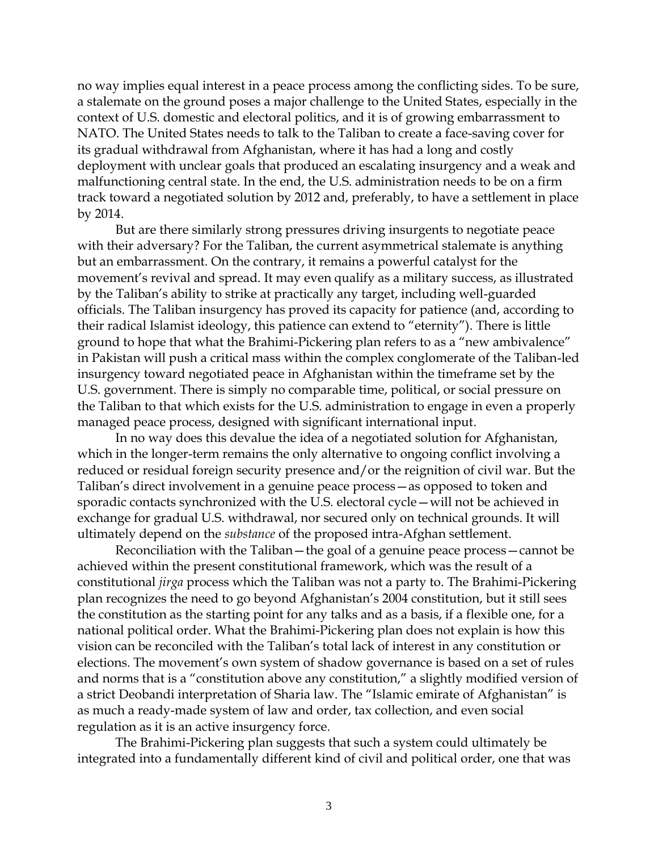no way implies equal interest in a peace process among the conflicting sides. To be sure, a stalemate on the ground poses a major challenge to the United States, especially in the context of U.S. domestic and electoral politics, and it is of growing embarrassment to NATO. The United States needs to talk to the Taliban to create a face-saving cover for its gradual withdrawal from Afghanistan, where it has had a long and costly deployment with unclear goals that produced an escalating insurgency and a weak and malfunctioning central state. In the end, the U.S. administration needs to be on a firm track toward a negotiated solution by 2012 and, preferably, to have a settlement in place by 2014.

But are there similarly strong pressures driving insurgents to negotiate peace with their adversary? For the Taliban, the current asymmetrical stalemate is anything but an embarrassment. On the contrary, it remains a powerful catalyst for the movement's revival and spread. It may even qualify as a military success, as illustrated by the Taliban's ability to strike at practically any target, including well-guarded officials. The Taliban insurgency has proved its capacity for patience (and, according to their radical Islamist ideology, this patience can extend to "eternity"). There is little ground to hope that what the Brahimi-Pickering plan refers to as a "new ambivalence" in Pakistan will push a critical mass within the complex conglomerate of the Taliban-led insurgency toward negotiated peace in Afghanistan within the timeframe set by the U.S. government. There is simply no comparable time, political, or social pressure on the Taliban to that which exists for the U.S. administration to engage in even a properly managed peace process, designed with significant international input.

In no way does this devalue the idea of a negotiated solution for Afghanistan, which in the longer-term remains the only alternative to ongoing conflict involving a reduced or residual foreign security presence and/or the reignition of civil war. But the Taliban's direct involvement in a genuine peace process—as opposed to token and sporadic contacts synchronized with the U.S. electoral cycle—will not be achieved in exchange for gradual U.S. withdrawal, nor secured only on technical grounds. It will ultimately depend on the *substance* of the proposed intra-Afghan settlement.

Reconciliation with the Taliban—the goal of a genuine peace process—cannot be achieved within the present constitutional framework, which was the result of a constitutional *jirga* process which the Taliban was not a party to. The Brahimi-Pickering plan recognizes the need to go beyond Afghanistan's 2004 constitution, but it still sees the constitution as the starting point for any talks and as a basis, if a flexible one, for a national political order. What the Brahimi-Pickering plan does not explain is how this vision can be reconciled with the Taliban's total lack of interest in any constitution or elections. The movement's own system of shadow governance is based on a set of rules and norms that is a "constitution above any constitution," a slightly modified version of a strict Deobandi interpretation of Sharia law. The "Islamic emirate of Afghanistan" is as much a ready-made system of law and order, tax collection, and even social regulation as it is an active insurgency force.

The Brahimi-Pickering plan suggests that such a system could ultimately be integrated into a fundamentally different kind of civil and political order, one that was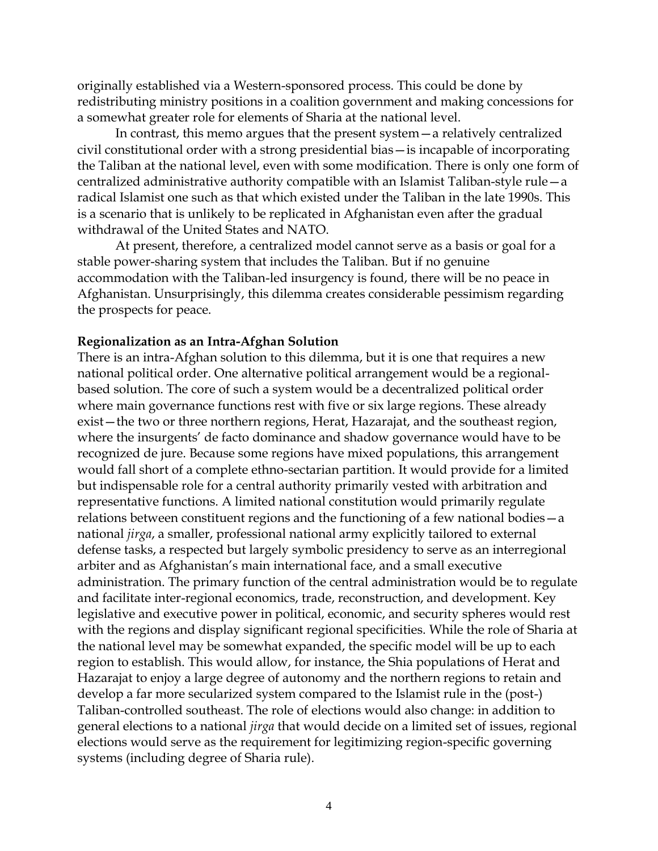originally established via a Western-sponsored process. This could be done by redistributing ministry positions in a coalition government and making concessions for a somewhat greater role for elements of Sharia at the national level.

In contrast, this memo argues that the present system—a relatively centralized civil constitutional order with a strong presidential bias—is incapable of incorporating the Taliban at the national level, even with some modification. There is only one form of centralized administrative authority compatible with an Islamist Taliban-style rule—a radical Islamist one such as that which existed under the Taliban in the late 1990s. This is a scenario that is unlikely to be replicated in Afghanistan even after the gradual withdrawal of the United States and NATO.

At present, therefore, a centralized model cannot serve as a basis or goal for a stable power-sharing system that includes the Taliban. But if no genuine accommodation with the Taliban-led insurgency is found, there will be no peace in Afghanistan. Unsurprisingly, this dilemma creates considerable pessimism regarding the prospects for peace.

#### **Regionalization as an Intra-Afghan Solution**

There is an intra-Afghan solution to this dilemma, but it is one that requires a new national political order. One alternative political arrangement would be a regionalbased solution. The core of such a system would be a decentralized political order where main governance functions rest with five or six large regions. These already exist—the two or three northern regions, Herat, Hazarajat, and the southeast region, where the insurgents' de facto dominance and shadow governance would have to be recognized de jure. Because some regions have mixed populations, this arrangement would fall short of a complete ethno-sectarian partition. It would provide for a limited but indispensable role for a central authority primarily vested with arbitration and representative functions. A limited national constitution would primarily regulate relations between constituent regions and the functioning of a few national bodies—a national *jirga*, a smaller, professional national army explicitly tailored to external defense tasks, a respected but largely symbolic presidency to serve as an interregional arbiter and as Afghanistan's main international face, and a small executive administration. The primary function of the central administration would be to regulate and facilitate inter-regional economics, trade, reconstruction, and development. Key legislative and executive power in political, economic, and security spheres would rest with the regions and display significant regional specificities. While the role of Sharia at the national level may be somewhat expanded, the specific model will be up to each region to establish. This would allow, for instance, the Shia populations of Herat and Hazarajat to enjoy a large degree of autonomy and the northern regions to retain and develop a far more secularized system compared to the Islamist rule in the (post-) Taliban-controlled southeast. The role of elections would also change: in addition to general elections to a national *jirga* that would decide on a limited set of issues, regional elections would serve as the requirement for legitimizing region-specific governing systems (including degree of Sharia rule).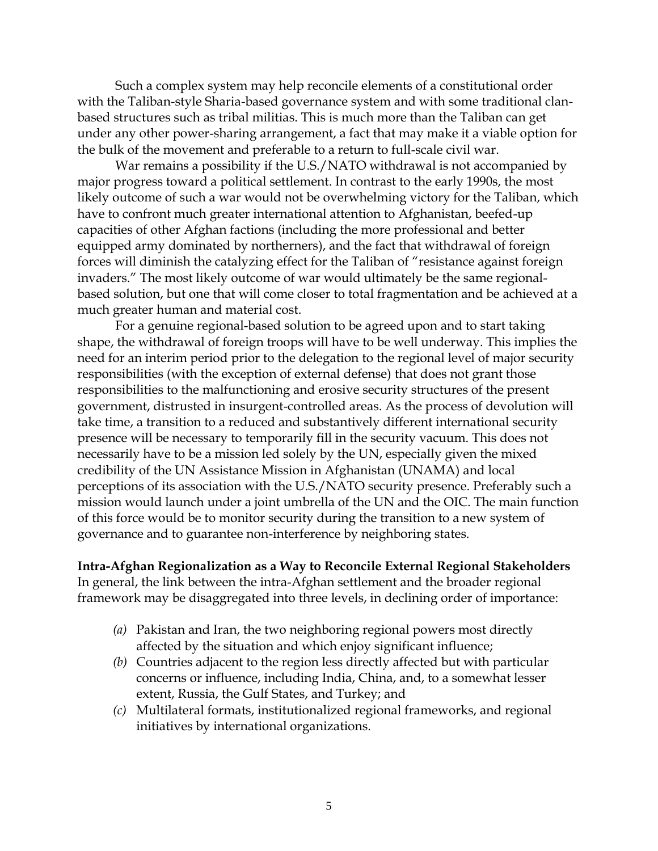Such a complex system may help reconcile elements of a constitutional order with the Taliban-style Sharia-based governance system and with some traditional clanbased structures such as tribal militias. This is much more than the Taliban can get under any other power-sharing arrangement, a fact that may make it a viable option for the bulk of the movement and preferable to a return to full-scale civil war.

War remains a possibility if the U.S./NATO withdrawal is not accompanied by major progress toward a political settlement. In contrast to the early 1990s, the most likely outcome of such a war would not be overwhelming victory for the Taliban, which have to confront much greater international attention to Afghanistan, beefed-up capacities of other Afghan factions (including the more professional and better equipped army dominated by northerners), and the fact that withdrawal of foreign forces will diminish the catalyzing effect for the Taliban of "resistance against foreign invaders." The most likely outcome of war would ultimately be the same regionalbased solution, but one that will come closer to total fragmentation and be achieved at a much greater human and material cost.

For a genuine regional-based solution to be agreed upon and to start taking shape, the withdrawal of foreign troops will have to be well underway. This implies the need for an interim period prior to the delegation to the regional level of major security responsibilities (with the exception of external defense) that does not grant those responsibilities to the malfunctioning and erosive security structures of the present government, distrusted in insurgent-controlled areas. As the process of devolution will take time, a transition to a reduced and substantively different international security presence will be necessary to temporarily fill in the security vacuum. This does not necessarily have to be a mission led solely by the UN, especially given the mixed credibility of the UN Assistance Mission in Afghanistan (UNAMA) and local perceptions of its association with the U.S./NATO security presence. Preferably such a mission would launch under a joint umbrella of the UN and the OIC. The main function of this force would be to monitor security during the transition to a new system of governance and to guarantee non-interference by neighboring states.

### **Intra-Afghan Regionalization as a Way to Reconcile External Regional Stakeholders**

In general, the link between the intra-Afghan settlement and the broader regional framework may be disaggregated into three levels, in declining order of importance:

- *(a)* Pakistan and Iran, the two neighboring regional powers most directly affected by the situation and which enjoy significant influence;
- *(b)* Countries adjacent to the region less directly affected but with particular concerns or influence, including India, China, and, to a somewhat lesser extent, Russia, the Gulf States, and Turkey; and
- *(c)* Multilateral formats, institutionalized regional frameworks, and regional initiatives by international organizations.